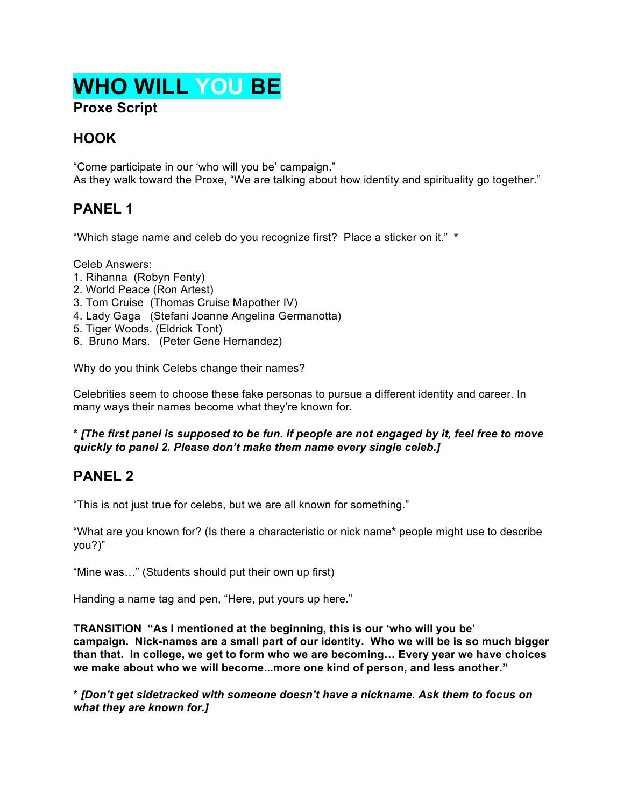# **WHO WILL YOU BE Proxe Script**

# **HOOK**

"Come participate in our 'who will you be' campaign." As they walk toward the Proxe, "We are talking about how identity and spirituality go together."

# **PANEL 1**

"Which stage name and celeb do you recognize first? Place a sticker on it." **\***

Celeb Answers:

- 1. Rihanna (Robyn Fenty)
- 2. World Peace (Ron Artest)
- 3. Tom Cruise (Thomas Cruise Mapother IV)
- 4. Lady Gaga (Stefani Joanne Angelina Germanotta)
- 5. Tiger Woods. (Eldrick Tont)
- 6. Bruno Mars. (Peter Gene Hernandez)

Why do you think Celebs change their names?

Celebrities seem to choose these fake personas to pursue a different identity and career. In many ways their names become what they're known for.

#### **\*** *[The first panel is supposed to be fun. If people are not engaged by it, feel free to move quickly to panel 2. Please don't make them name every single celeb.]*

#### **PANEL 2**

"This is not just true for celebs, but we are all known for something."

"What are you known for? (Is there a characteristic or nick name**\*** people might use to describe you?)"

"Mine was…" (Students should put their own up first)

Handing a name tag and pen, "Here, put yours up here."

**TRANSITION "As I mentioned at the beginning, this is our 'who will you be' campaign. Nick-names are a small part of our identity. Who we will be is so much bigger than that. In college, we get to form who we are becoming… Every year we have choices we make about who we will become...more one kind of person, and less another."**

**\*** *[Don't get sidetracked with someone doesn't have a nickname. Ask them to focus on what they are known for.]*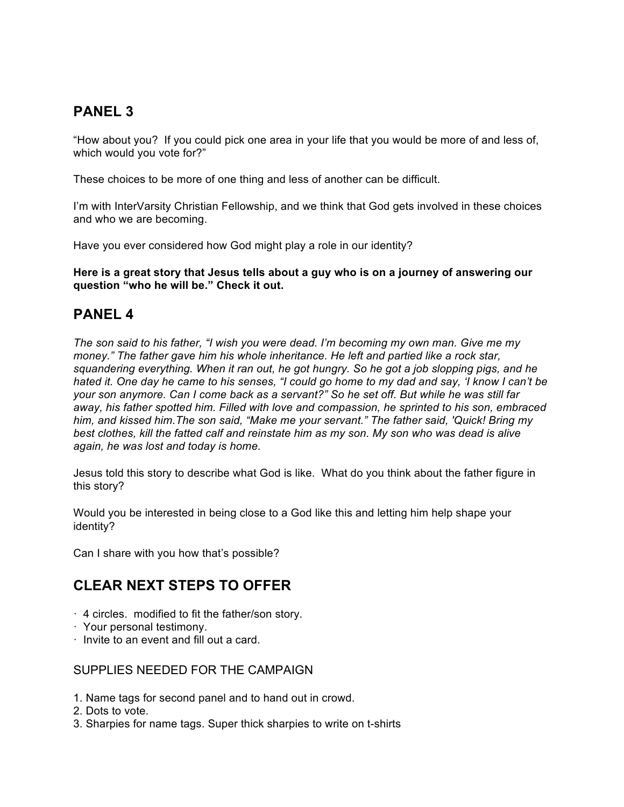### **PANEL 3**

"How about you? If you could pick one area in your life that you would be more of and less of, which would you vote for?"

These choices to be more of one thing and less of another can be difficult.

I'm with InterVarsity Christian Fellowship, and we think that God gets involved in these choices and who we are becoming.

Have you ever considered how God might play a role in our identity?

**Here is a great story that Jesus tells about a guy who is on a journey of answering our question "who he will be." Check it out.**

#### **PANEL 4**

*The son said to his father, "I wish you were dead. I'm becoming my own man. Give me my money." The father gave him his whole inheritance. He left and partied like a rock star, squandering everything. When it ran out, he got hungry. So he got a job slopping pigs, and he hated it. One day he came to his senses, "I could go home to my dad and say, 'I know I can't be your son anymore. Can I come back as a servant?" So he set off. But while he was still far away, his father spotted him. Filled with love and compassion, he sprinted to his son, embraced him, and kissed him.The son said, "Make me your servant." The father said, 'Quick! Bring my best clothes, kill the fatted calf and reinstate him as my son. My son who was dead is alive again, he was lost and today is home.* 

Jesus told this story to describe what God is like. What do you think about the father figure in this story?

Would you be interested in being close to a God like this and letting him help shape your identity?

Can I share with you how that's possible?

#### **CLEAR NEXT STEPS TO OFFER**

- · 4 circles. modified to fit the father/son story.
- · Your personal testimony.
- · Invite to an event and fill out a card.

#### SUPPLIES NEEDED FOR THE CAMPAIGN

- 1. Name tags for second panel and to hand out in crowd.
- 2. Dots to vote.
- 3. Sharpies for name tags. Super thick sharpies to write on t-shirts